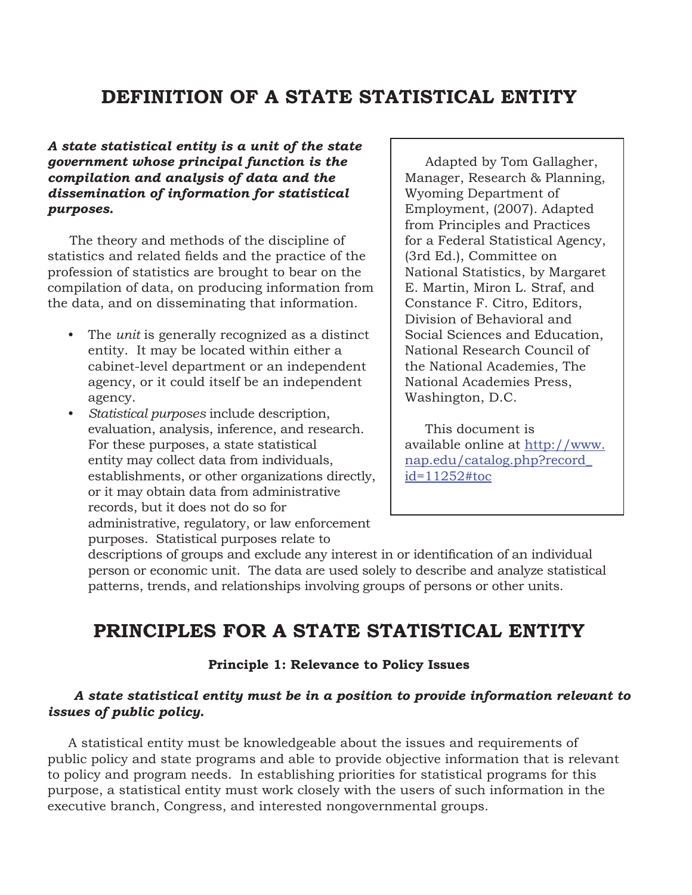# **DEFINITION OF A STATE STATISTICAL ENTITY**

*A state statistical entity is a unit of the state government whose principal function is the compilation and analysis of data and the dissemination of information for statistical purposes.*

The theory and methods of the discipline of statistics and related fields and the practice of the profession of statistics are brought to bear on the compilation of data, on producing information from the data, and on disseminating that information.

- The *unit* is generally recognized as a distinct entity. It may be located within either a cabinet-level department or an independent agency, or it could itself be an independent agency.
- *Statistical purposes* include description, evaluation, analysis, inference, and research. For these purposes, a state statistical entity may collect data from individuals, establishments, or other organizations directly, or it may obtain data from administrative records, but it does not do so for administrative, regulatory, or law enforcement purposes. Statistical purposes relate to

Adapted by Tom Gallagher, Manager, Research & Planning, Wyoming Department of Employment, (2007). Adapted from Principles and Practices for a Federal Statistical Agency, (3rd Ed.), Committee on National Statistics, by Margaret E. Martin, Miron L. Straf, and Constance F. Citro, Editors, Division of Behavioral and Social Sciences and Education, National Research Council of the National Academies, The National Academies Press, Washington, D.C.

This document is available online at http://www. nap.edu/catalog.php?record\_ id=11252#toc

descriptions of groups and exclude any interest in or identification of an individual person or economic unit. The data are used solely to describe and analyze statistical patterns, trends, and relationships involving groups of persons or other units.

# **PRINCIPLES FOR A STATE STATISTICAL ENTITY**

## **Principle 1: Relevance to Policy Issues**

## *A state statistical entity must be in a position to provide information relevant to issues of public policy.*

 A statistical entity must be knowledgeable about the issues and requirements of public policy and state programs and able to provide objective information that is relevant to policy and program needs. In establishing priorities for statistical programs for this purpose, a statistical entity must work closely with the users of such information in the executive branch, Congress, and interested nongovernmental groups.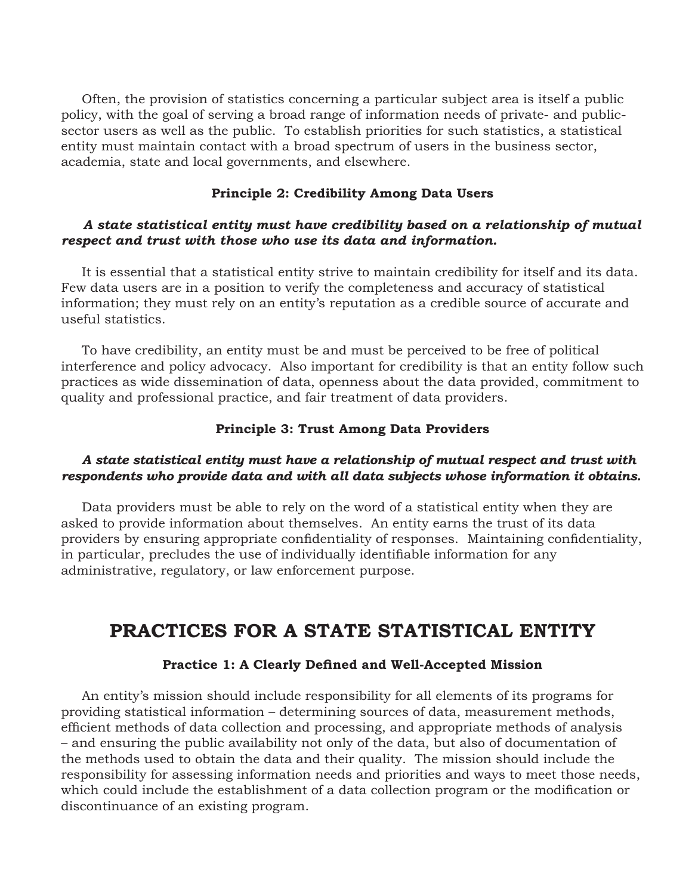Often, the provision of statistics concerning a particular subject area is itself a public policy, with the goal of serving a broad range of information needs of private- and publicsector users as well as the public. To establish priorities for such statistics, a statistical entity must maintain contact with a broad spectrum of users in the business sector, academia, state and local governments, and elsewhere.

#### **Principle 2: Credibility Among Data Users**

## *A state statistical entity must have credibility based on a relationship of mutual respect and trust with those who use its data and information.*

 It is essential that a statistical entity strive to maintain credibility for itself and its data. Few data users are in a position to verify the completeness and accuracy of statistical information; they must rely on an entity's reputation as a credible source of accurate and useful statistics.

 To have credibility, an entity must be and must be perceived to be free of political interference and policy advocacy. Also important for credibility is that an entity follow such practices as wide dissemination of data, openness about the data provided, commitment to quality and professional practice, and fair treatment of data providers.

#### **Principle 3: Trust Among Data Providers**

## *A state statistical entity must have a relationship of mutual respect and trust with respondents who provide data and with all data subjects whose information it obtains.*

 Data providers must be able to rely on the word of a statistical entity when they are asked to provide information about themselves. An entity earns the trust of its data providers by ensuring appropriate confidentiality of responses. Maintaining confidentiality, in particular, precludes the use of individually identifiable information for any administrative, regulatory, or law enforcement purpose.

# **PRACTICES FOR A STATE STATISTICAL ENTITY**

#### **Practice 1: A Clearly Defined and Well-Accepted Mission**

 An entity's mission should include responsibility for all elements of its programs for providing statistical information – determining sources of data, measurement methods, efficient methods of data collection and processing, and appropriate methods of analysis – and ensuring the public availability not only of the data, but also of documentation of the methods used to obtain the data and their quality. The mission should include the responsibility for assessing information needs and priorities and ways to meet those needs, which could include the establishment of a data collection program or the modification or discontinuance of an existing program.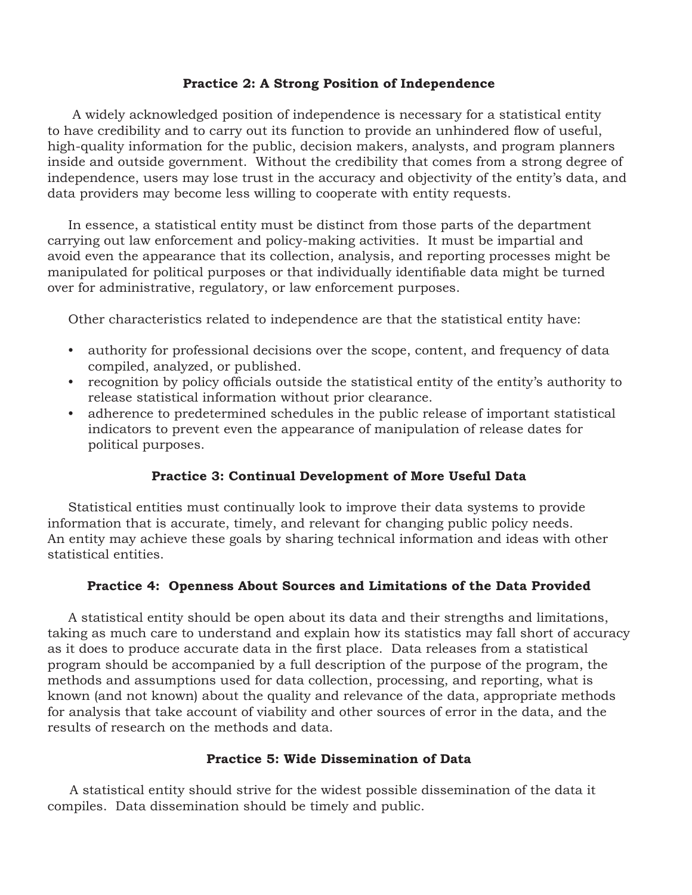## **Practice 2: A Strong Position of Independence**

 A widely acknowledged position of independence is necessary for a statistical entity to have credibility and to carry out its function to provide an unhindered flow of useful, high-quality information for the public, decision makers, analysts, and program planners inside and outside government. Without the credibility that comes from a strong degree of independence, users may lose trust in the accuracy and objectivity of the entity's data, and data providers may become less willing to cooperate with entity requests.

 In essence, a statistical entity must be distinct from those parts of the department carrying out law enforcement and policy-making activities. It must be impartial and avoid even the appearance that its collection, analysis, and reporting processes might be manipulated for political purposes or that individually identifiable data might be turned over for administrative, regulatory, or law enforcement purposes.

Other characteristics related to independence are that the statistical entity have:

- authority for professional decisions over the scope, content, and frequency of data compiled, analyzed, or published.
- recognition by policy officials outside the statistical entity of the entity's authority to release statistical information without prior clearance.
- adherence to predetermined schedules in the public release of important statistical indicators to prevent even the appearance of manipulation of release dates for political purposes.

## **Practice 3: Continual Development of More Useful Data**

 Statistical entities must continually look to improve their data systems to provide information that is accurate, timely, and relevant for changing public policy needs. An entity may achieve these goals by sharing technical information and ideas with other statistical entities.

## **Practice 4: Openness About Sources and Limitations of the Data Provided**

 A statistical entity should be open about its data and their strengths and limitations, taking as much care to understand and explain how its statistics may fall short of accuracy as it does to produce accurate data in the first place. Data releases from a statistical program should be accompanied by a full description of the purpose of the program, the methods and assumptions used for data collection, processing, and reporting, what is known (and not known) about the quality and relevance of the data, appropriate methods for analysis that take account of viability and other sources of error in the data, and the results of research on the methods and data.

## **Practice 5: Wide Dissemination of Data**

A statistical entity should strive for the widest possible dissemination of the data it compiles. Data dissemination should be timely and public.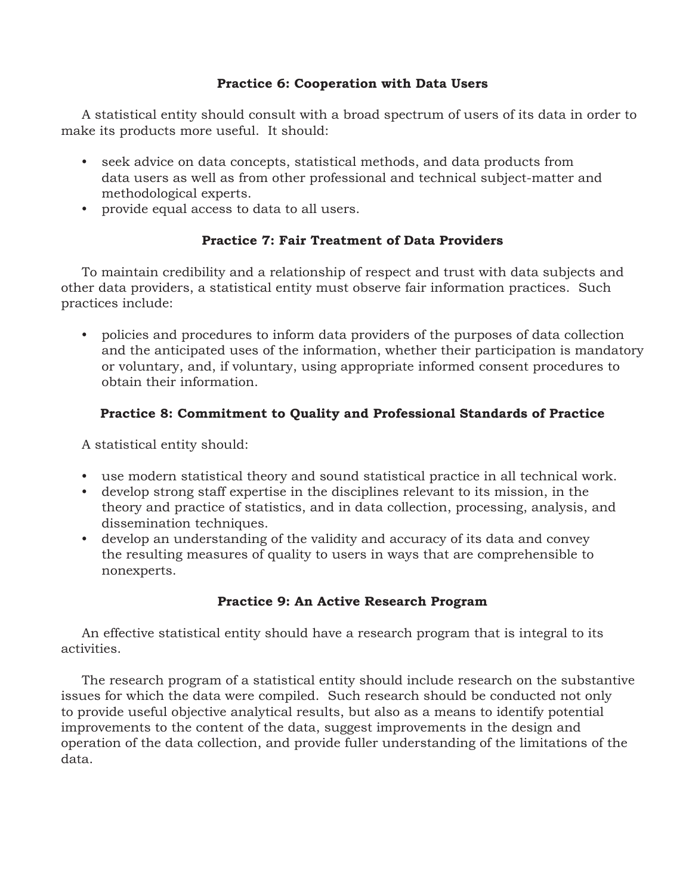## **Practice 6: Cooperation with Data Users**

 A statistical entity should consult with a broad spectrum of users of its data in order to make its products more useful. It should:

- seek advice on data concepts, statistical methods, and data products from data users as well as from other professional and technical subject-matter and methodological experts.
- provide equal access to data to all users.

## **Practice 7: Fair Treatment of Data Providers**

 To maintain credibility and a relationship of respect and trust with data subjects and other data providers, a statistical entity must observe fair information practices. Such practices include:

• policies and procedures to inform data providers of the purposes of data collection and the anticipated uses of the information, whether their participation is mandatory or voluntary, and, if voluntary, using appropriate informed consent procedures to obtain their information.

## **Practice 8: Commitment to Quality and Professional Standards of Practice**

A statistical entity should:

- use modern statistical theory and sound statistical practice in all technical work.
- develop strong staff expertise in the disciplines relevant to its mission, in the theory and practice of statistics, and in data collection, processing, analysis, and dissemination techniques.
- develop an understanding of the validity and accuracy of its data and convey the resulting measures of quality to users in ways that are comprehensible to nonexperts.

## **Practice 9: An Active Research Program**

 An effective statistical entity should have a research program that is integral to its activities.

 The research program of a statistical entity should include research on the substantive issues for which the data were compiled. Such research should be conducted not only to provide useful objective analytical results, but also as a means to identify potential improvements to the content of the data, suggest improvements in the design and operation of the data collection, and provide fuller understanding of the limitations of the data.